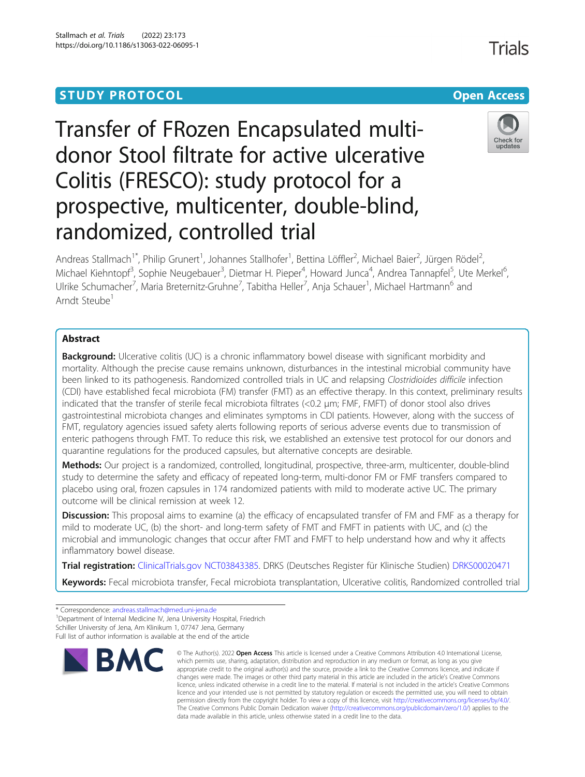# Transfer of FRozen Encapsulated multidonor Stool filtrate for active ulcerative Colitis (FRESCO): study protocol for a prospective, multicenter, double-blind, randomized, controlled trial



Check for updates

Andreas Stallmach<sup>1\*</sup>, Philip Grunert<sup>1</sup>, Johannes Stallhofer<sup>1</sup>, Bettina Löffler<sup>2</sup>, Michael Baier<sup>2</sup>, Jürgen Rödel<sup>2</sup> , Michael Kiehntopf<sup>3</sup>, Sophie Neugebauer<sup>3</sup>, Dietmar H. Pieper<sup>4</sup>, Howard Junca<sup>4</sup>, Andrea Tannapfel<sup>5</sup>, Ute Merkel<sup>6</sup> י<br>, Ulrike Schumacher<sup>7</sup>, Maria Breternitz-Gruhne<sup>7</sup>, Tabitha Heller<sup>7</sup>, Anja Schauer<sup>1</sup>, Michael Hartmann<sup>6</sup> and Arndt Steube<sup>1</sup>

## Abstract

**Background:** Ulcerative colitis (UC) is a chronic inflammatory bowel disease with significant morbidity and mortality. Although the precise cause remains unknown, disturbances in the intestinal microbial community have been linked to its pathogenesis. Randomized controlled trials in UC and relapsing Clostridioides difficile infection (CDI) have established fecal microbiota (FM) transfer (FMT) as an effective therapy. In this context, preliminary results indicated that the transfer of sterile fecal microbiota filtrates (<0.2 μm; FMF, FMFT) of donor stool also drives gastrointestinal microbiota changes and eliminates symptoms in CDI patients. However, along with the success of FMT, regulatory agencies issued safety alerts following reports of serious adverse events due to transmission of enteric pathogens through FMT. To reduce this risk, we established an extensive test protocol for our donors and quarantine regulations for the produced capsules, but alternative concepts are desirable.

Methods: Our project is a randomized, controlled, longitudinal, prospective, three-arm, multicenter, double-blind study to determine the safety and efficacy of repeated long-term, multi-donor FM or FMF transfers compared to placebo using oral, frozen capsules in 174 randomized patients with mild to moderate active UC. The primary outcome will be clinical remission at week 12.

Discussion: This proposal aims to examine (a) the efficacy of encapsulated transfer of FM and FMF as a therapy for mild to moderate UC, (b) the short- and long-term safety of FMT and FMFT in patients with UC, and (c) the microbial and immunologic changes that occur after FMT and FMFT to help understand how and why it affects inflammatory bowel disease.

Trial registration: [ClinicalTrials.gov](http://clinicaltrials.gov) [NCT03843385](https://clinicaltrials.gov/ct2/show/NCT03843385). DRKS (Deutsches Register für Klinische Studien) [DRKS00020471](https://drks.de/drks_web/navigate.do?navigationId=trial.HTML&TRIAL_ID=DRKS00020471)

Keywords: Fecal microbiota transfer, Fecal microbiota transplantation, Ulcerative colitis, Randomized controlled trial

<sup>1</sup> Department of Internal Medicine IV, Jena University Hospital, Friedrich Schiller University of Jena, Am Klinikum 1, 07747 Jena, Germany

Full list of author information is available at the end of the article



<sup>©</sup> The Author(s), 2022 **Open Access** This article is licensed under a Creative Commons Attribution 4.0 International License, which permits use, sharing, adaptation, distribution and reproduction in any medium or format, as long as you give appropriate credit to the original author(s) and the source, provide a link to the Creative Commons licence, and indicate if changes were made. The images or other third party material in this article are included in the article's Creative Commons licence, unless indicated otherwise in a credit line to the material. If material is not included in the article's Creative Commons licence and your intended use is not permitted by statutory regulation or exceeds the permitted use, you will need to obtain permission directly from the copyright holder. To view a copy of this licence, visit [http://creativecommons.org/licenses/by/4.0/.](http://creativecommons.org/licenses/by/4.0/) The Creative Commons Public Domain Dedication waiver [\(http://creativecommons.org/publicdomain/zero/1.0/](http://creativecommons.org/publicdomain/zero/1.0/)) applies to the data made available in this article, unless otherwise stated in a credit line to the data.

<sup>\*</sup> Correspondence: [andreas.stallmach@med.uni-jena.de](mailto:andreas.stallmach@med.uni-jena.de) <sup>1</sup>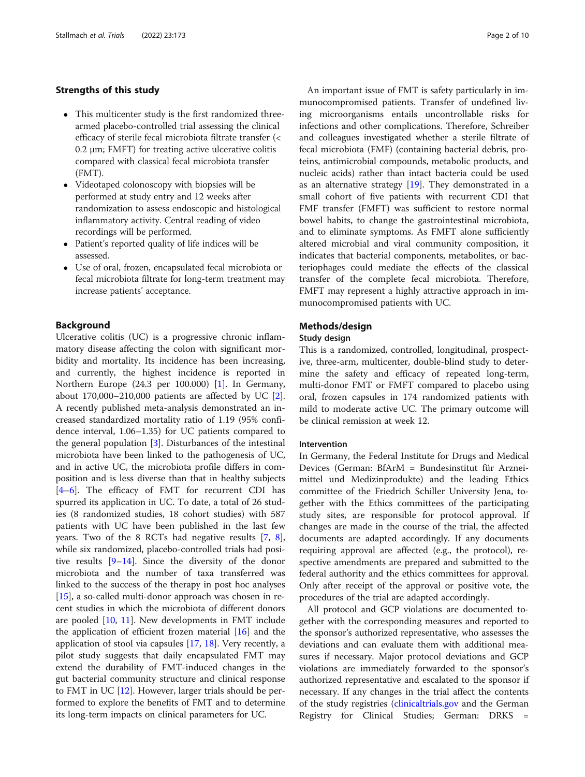## Strengths of this study

- This multicenter study is the first randomized threearmed placebo-controlled trial assessing the clinical efficacy of sterile fecal microbiota filtrate transfer (< 0.2 μm; FMFT) for treating active ulcerative colitis compared with classical fecal microbiota transfer (FMT).
- Videotaped colonoscopy with biopsies will be performed at study entry and 12 weeks after randomization to assess endoscopic and histological inflammatory activity. Central reading of video recordings will be performed.
- Patient's reported quality of life indices will be assessed.
- Use of oral, frozen, encapsulated fecal microbiota or fecal microbiota filtrate for long-term treatment may increase patients' acceptance.

## Background

Ulcerative colitis (UC) is a progressive chronic inflammatory disease affecting the colon with significant morbidity and mortality. Its incidence has been increasing, and currently, the highest incidence is reported in Northern Europe (24.3 per 100.000) [\[1](#page-8-0)]. In Germany, about  $170,000-210,000$  patients are affected by UC  $[2]$  $[2]$ . A recently published meta-analysis demonstrated an increased standardized mortality ratio of 1.19 (95% confidence interval, 1.06–1.35) for UC patients compared to the general population [[3\]](#page-8-0). Disturbances of the intestinal microbiota have been linked to the pathogenesis of UC, and in active UC, the microbiota profile differs in composition and is less diverse than that in healthy subjects [[4](#page-8-0)-[6\]](#page-8-0). The efficacy of FMT for recurrent CDI has spurred its application in UC. To date, a total of 26 studies (8 randomized studies, 18 cohort studies) with 587 patients with UC have been published in the last few years. Two of the 8 RCTs had negative results [\[7](#page-8-0), [8](#page-8-0)], while six randomized, placebo-controlled trials had positive results [\[9](#page-8-0)–[14](#page-8-0)]. Since the diversity of the donor microbiota and the number of taxa transferred was linked to the success of the therapy in post hoc analyses [[15\]](#page-8-0), a so-called multi-donor approach was chosen in recent studies in which the microbiota of different donors are pooled [\[10](#page-8-0), [11\]](#page-8-0). New developments in FMT include the application of efficient frozen material [[16](#page-8-0)] and the application of stool via capsules [\[17,](#page-8-0) [18\]](#page-8-0). Very recently, a pilot study suggests that daily encapsulated FMT may extend the durability of FMT-induced changes in the gut bacterial community structure and clinical response to FMT in UC  $[12]$  $[12]$ . However, larger trials should be performed to explore the benefits of FMT and to determine its long-term impacts on clinical parameters for UC.

An important issue of FMT is safety particularly in immunocompromised patients. Transfer of undefined living microorganisms entails uncontrollable risks for infections and other complications. Therefore, Schreiber and colleagues investigated whether a sterile filtrate of fecal microbiota (FMF) (containing bacterial debris, proteins, antimicrobial compounds, metabolic products, and nucleic acids) rather than intact bacteria could be used as an alternative strategy [\[19](#page-8-0)]. They demonstrated in a small cohort of five patients with recurrent CDI that FMF transfer (FMFT) was sufficient to restore normal bowel habits, to change the gastrointestinal microbiota, and to eliminate symptoms. As FMFT alone sufficiently altered microbial and viral community composition, it indicates that bacterial components, metabolites, or bacteriophages could mediate the effects of the classical transfer of the complete fecal microbiota. Therefore, FMFT may represent a highly attractive approach in immunocompromised patients with UC.

## Methods/design

#### Study design

This is a randomized, controlled, longitudinal, prospective, three-arm, multicenter, double-blind study to determine the safety and efficacy of repeated long-term, multi-donor FMT or FMFT compared to placebo using oral, frozen capsules in 174 randomized patients with mild to moderate active UC. The primary outcome will be clinical remission at week 12.

## Intervention

In Germany, the Federal Institute for Drugs and Medical Devices (German: BfArM = Bundesinstitut für Arzneimittel und Medizinprodukte) and the leading Ethics committee of the Friedrich Schiller University Jena, together with the Ethics committees of the participating study sites, are responsible for protocol approval. If changes are made in the course of the trial, the affected documents are adapted accordingly. If any documents requiring approval are affected (e.g., the protocol), respective amendments are prepared and submitted to the federal authority and the ethics committees for approval. Only after receipt of the approval or positive vote, the procedures of the trial are adapted accordingly.

All protocol and GCP violations are documented together with the corresponding measures and reported to the sponsor's authorized representative, who assesses the deviations and can evaluate them with additional measures if necessary. Major protocol deviations and GCP violations are immediately forwarded to the sponsor's authorized representative and escalated to the sponsor if necessary. If any changes in the trial affect the contents of the study registries [\(clinicaltrials.gov](http://clinicaltrials.gov) and the German Registry for Clinical Studies; German: DRKS =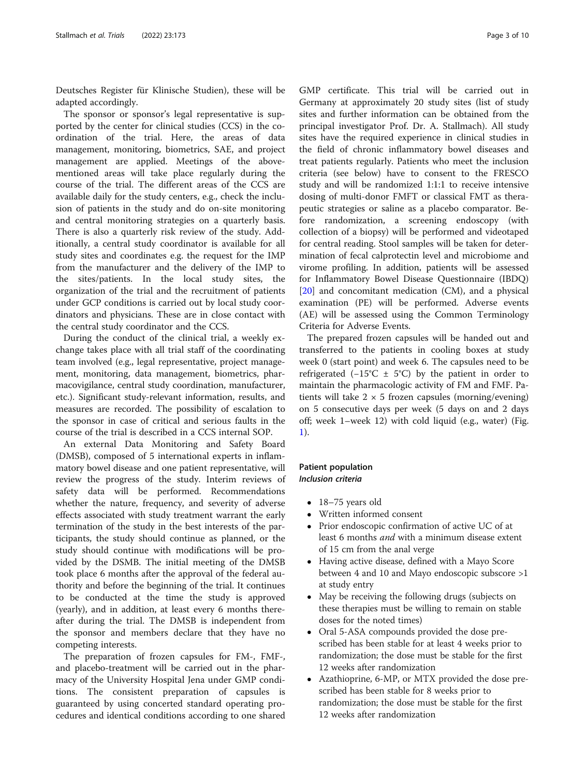Deutsches Register für Klinische Studien), these will be adapted accordingly.

The sponsor or sponsor's legal representative is supported by the center for clinical studies (CCS) in the coordination of the trial. Here, the areas of data management, monitoring, biometrics, SAE, and project management are applied. Meetings of the abovementioned areas will take place regularly during the course of the trial. The different areas of the CCS are available daily for the study centers, e.g., check the inclusion of patients in the study and do on-site monitoring and central monitoring strategies on a quarterly basis. There is also a quarterly risk review of the study. Additionally, a central study coordinator is available for all study sites and coordinates e.g. the request for the IMP from the manufacturer and the delivery of the IMP to the sites/patients. In the local study sites, the organization of the trial and the recruitment of patients under GCP conditions is carried out by local study coordinators and physicians. These are in close contact with the central study coordinator and the CCS.

During the conduct of the clinical trial, a weekly exchange takes place with all trial staff of the coordinating team involved (e.g., legal representative, project management, monitoring, data management, biometrics, pharmacovigilance, central study coordination, manufacturer, etc.). Significant study-relevant information, results, and measures are recorded. The possibility of escalation to the sponsor in case of critical and serious faults in the course of the trial is described in a CCS internal SOP.

An external Data Monitoring and Safety Board (DMSB), composed of 5 international experts in inflammatory bowel disease and one patient representative, will review the progress of the study. Interim reviews of safety data will be performed. Recommendations whether the nature, frequency, and severity of adverse effects associated with study treatment warrant the early termination of the study in the best interests of the participants, the study should continue as planned, or the study should continue with modifications will be provided by the DSMB. The initial meeting of the DMSB took place 6 months after the approval of the federal authority and before the beginning of the trial. It continues to be conducted at the time the study is approved (yearly), and in addition, at least every 6 months thereafter during the trial. The DMSB is independent from the sponsor and members declare that they have no competing interests.

The preparation of frozen capsules for FM-, FMF-, and placebo-treatment will be carried out in the pharmacy of the University Hospital Jena under GMP conditions. The consistent preparation of capsules is guaranteed by using concerted standard operating procedures and identical conditions according to one shared

GMP certificate. This trial will be carried out in Germany at approximately 20 study sites (list of study sites and further information can be obtained from the principal investigator Prof. Dr. A. Stallmach). All study sites have the required experience in clinical studies in the field of chronic inflammatory bowel diseases and treat patients regularly. Patients who meet the inclusion criteria (see below) have to consent to the FRESCO study and will be randomized 1:1:1 to receive intensive dosing of multi-donor FMFT or classical FMT as therapeutic strategies or saline as a placebo comparator. Before randomization, a screening endoscopy (with collection of a biopsy) will be performed and videotaped for central reading. Stool samples will be taken for determination of fecal calprotectin level and microbiome and virome profiling. In addition, patients will be assessed for Inflammatory Bowel Disease Questionnaire (IBDQ) [[20\]](#page-8-0) and concomitant medication (CM), and a physical examination (PE) will be performed. Adverse events (AE) will be assessed using the Common Terminology Criteria for Adverse Events.

The prepared frozen capsules will be handed out and transferred to the patients in cooling boxes at study week 0 (start point) and week 6. The capsules need to be refrigerated (−15°C ± 5°C) by the patient in order to maintain the pharmacologic activity of FM and FMF. Patients will take  $2 \times 5$  frozen capsules (morning/evening) on 5 consecutive days per week (5 days on and 2 days off; week 1–week 12) with cold liquid (e.g., water) (Fig. [1\)](#page-3-0).

## Patient population Inclusion criteria

- 18-75 years old
- Written informed consent
- Prior endoscopic confirmation of active UC of at least 6 months and with a minimum disease extent of 15 cm from the anal verge
- Having active disease, defined with a Mayo Score between 4 and 10 and Mayo endoscopic subscore >1 at study entry
- May be receiving the following drugs (subjects on these therapies must be willing to remain on stable doses for the noted times)
- Oral 5-ASA compounds provided the dose prescribed has been stable for at least 4 weeks prior to randomization; the dose must be stable for the first 12 weeks after randomization
- Azathioprine, 6-MP, or MTX provided the dose prescribed has been stable for 8 weeks prior to randomization; the dose must be stable for the first 12 weeks after randomization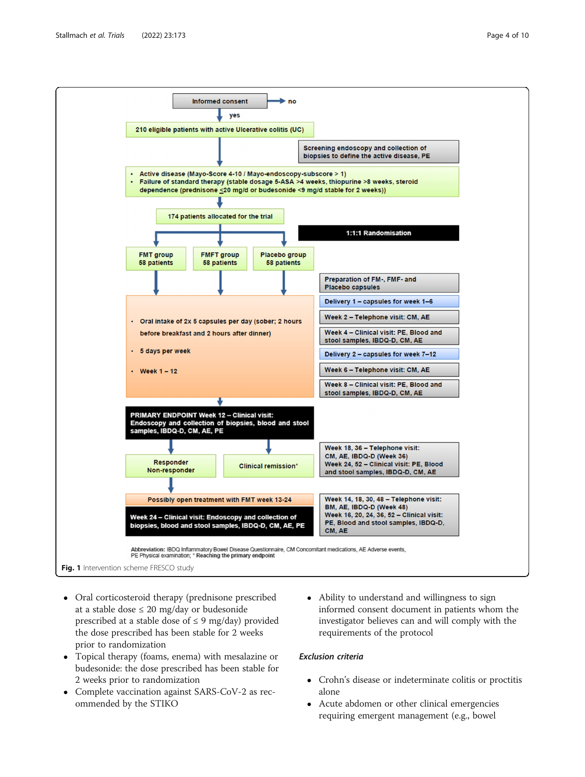<span id="page-3-0"></span>

- Oral corticosteroid therapy (prednisone prescribed at a stable dose  $\leq 20$  mg/day or budesonide prescribed at a stable dose of  $\leq$  9 mg/day) provided the dose prescribed has been stable for 2 weeks prior to randomization
- Topical therapy (foams, enema) with mesalazine or budesonide: the dose prescribed has been stable for 2 weeks prior to randomization
- Complete vaccination against SARS-CoV-2 as recommended by the STIKO
- Ability to understand and willingness to sign informed consent document in patients whom the investigator believes can and will comply with the requirements of the protocol

## Exclusion criteria

- Crohn's disease or indeterminate colitis or proctitis alone
- Acute abdomen or other clinical emergencies requiring emergent management (e.g., bowel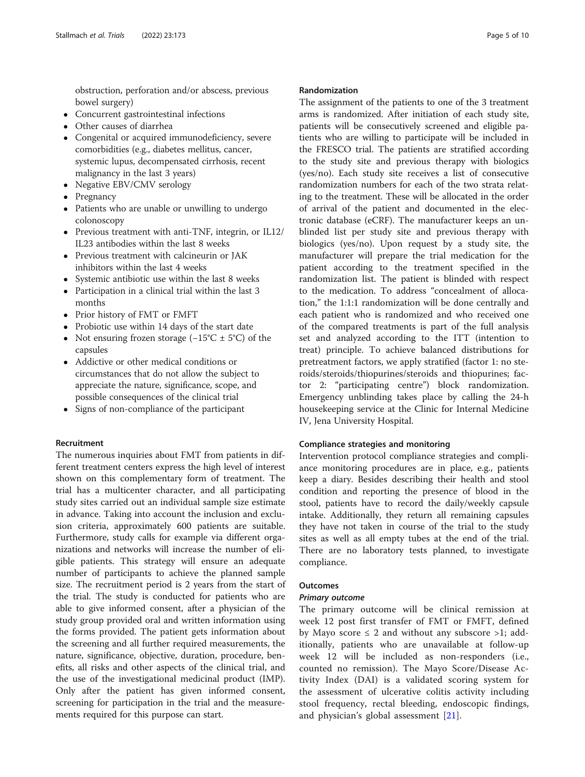obstruction, perforation and/or abscess, previous bowel surgery)

- Concurrent gastrointestinal infections
- Other causes of diarrhea
- Congenital or acquired immunodeficiency, severe comorbidities (e.g., diabetes mellitus, cancer, systemic lupus, decompensated cirrhosis, recent malignancy in the last 3 years)
- Negative EBV/CMV serology
- Pregnancy
- Patients who are unable or unwilling to undergo colonoscopy
- Previous treatment with anti-TNF, integrin, or IL12/ IL23 antibodies within the last 8 weeks
- Previous treatment with calcineurin or JAK inhibitors within the last 4 weeks
- Systemic antibiotic use within the last 8 weeks
- Participation in a clinical trial within the last 3 months
- Prior history of FMT or FMFT
- Probiotic use within 14 days of the start date
- Not ensuring frozen storage  $(-15^{\circ}C \pm 5^{\circ}C)$  of the capsules
- Addictive or other medical conditions or circumstances that do not allow the subject to appreciate the nature, significance, scope, and possible consequences of the clinical trial
- Signs of non-compliance of the participant

## Recruitment

The numerous inquiries about FMT from patients in different treatment centers express the high level of interest shown on this complementary form of treatment. The trial has a multicenter character, and all participating study sites carried out an individual sample size estimate in advance. Taking into account the inclusion and exclusion criteria, approximately 600 patients are suitable. Furthermore, study calls for example via different organizations and networks will increase the number of eligible patients. This strategy will ensure an adequate number of participants to achieve the planned sample size. The recruitment period is 2 years from the start of the trial. The study is conducted for patients who are able to give informed consent, after a physician of the study group provided oral and written information using the forms provided. The patient gets information about the screening and all further required measurements, the nature, significance, objective, duration, procedure, benefits, all risks and other aspects of the clinical trial, and the use of the investigational medicinal product (IMP). Only after the patient has given informed consent, screening for participation in the trial and the measurements required for this purpose can start.

## Randomization

The assignment of the patients to one of the 3 treatment arms is randomized. After initiation of each study site, patients will be consecutively screened and eligible patients who are willing to participate will be included in the FRESCO trial. The patients are stratified according to the study site and previous therapy with biologics (yes/no). Each study site receives a list of consecutive randomization numbers for each of the two strata relating to the treatment. These will be allocated in the order of arrival of the patient and documented in the electronic database (eCRF). The manufacturer keeps an unblinded list per study site and previous therapy with biologics (yes/no). Upon request by a study site, the manufacturer will prepare the trial medication for the patient according to the treatment specified in the randomization list. The patient is blinded with respect to the medication. To address "concealment of allocation," the 1:1:1 randomization will be done centrally and each patient who is randomized and who received one of the compared treatments is part of the full analysis set and analyzed according to the ITT (intention to treat) principle. To achieve balanced distributions for pretreatment factors, we apply stratified (factor 1: no steroids/steroids/thiopurines/steroids and thiopurines; factor 2: "participating centre") block randomization. Emergency unblinding takes place by calling the 24-h housekeeping service at the Clinic for Internal Medicine IV, Jena University Hospital.

#### Compliance strategies and monitoring

Intervention protocol compliance strategies and compliance monitoring procedures are in place, e.g., patients keep a diary. Besides describing their health and stool condition and reporting the presence of blood in the stool, patients have to record the daily/weekly capsule intake. Additionally, they return all remaining capsules they have not taken in course of the trial to the study sites as well as all empty tubes at the end of the trial. There are no laboratory tests planned, to investigate compliance.

# **Outcomes**

## Primary outcome

The primary outcome will be clinical remission at week 12 post first transfer of FMT or FMFT, defined by Mayo score  $\leq 2$  and without any subscore  $>1$ ; additionally, patients who are unavailable at follow-up week 12 will be included as non-responders (i.e., counted no remission). The Mayo Score/Disease Activity Index (DAI) is a validated scoring system for the assessment of ulcerative colitis activity including stool frequency, rectal bleeding, endoscopic findings, and physician's global assessment [[21\]](#page-8-0).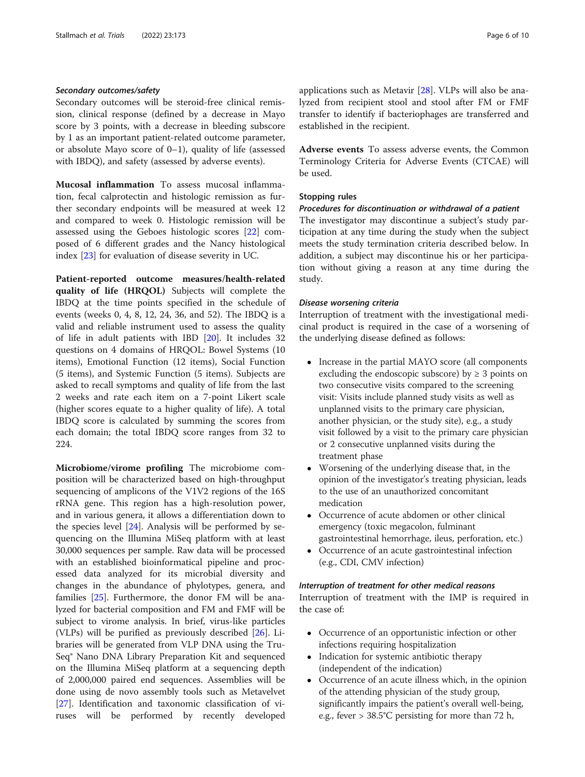## Secondary outcomes/safety

Secondary outcomes will be steroid-free clinical remission, clinical response (defined by a decrease in Mayo score by 3 points, with a decrease in bleeding subscore by 1 as an important patient-related outcome parameter, or absolute Mayo score of 0–1), quality of life (assessed with IBDQ), and safety (assessed by adverse events).

Mucosal inflammation To assess mucosal inflammation, fecal calprotectin and histologic remission as further secondary endpoints will be measured at week 12 and compared to week 0. Histologic remission will be assessed using the Geboes histologic scores [\[22](#page-8-0)] composed of 6 different grades and the Nancy histological index [\[23](#page-8-0)] for evaluation of disease severity in UC.

Patient-reported outcome measures/health-related quality of life (HRQOL) Subjects will complete the IBDQ at the time points specified in the schedule of events (weeks 0, 4, 8, 12, 24, 36, and 52). The IBDQ is a valid and reliable instrument used to assess the quality of life in adult patients with IBD [\[20](#page-8-0)]. It includes 32 questions on 4 domains of HRQOL: Bowel Systems (10 items), Emotional Function (12 items), Social Function (5 items), and Systemic Function (5 items). Subjects are asked to recall symptoms and quality of life from the last 2 weeks and rate each item on a 7-point Likert scale (higher scores equate to a higher quality of life). A total IBDQ score is calculated by summing the scores from each domain; the total IBDQ score ranges from 32 to 224.

Microbiome/virome profiling The microbiome composition will be characterized based on high-throughput sequencing of amplicons of the V1V2 regions of the 16S rRNA gene. This region has a high-resolution power, and in various genera, it allows a differentiation down to the species level [[24\]](#page-8-0). Analysis will be performed by sequencing on the Illumina MiSeq platform with at least 30,000 sequences per sample. Raw data will be processed with an established bioinformatical pipeline and processed data analyzed for its microbial diversity and changes in the abundance of phylotypes, genera, and families [[25\]](#page-9-0). Furthermore, the donor FM will be analyzed for bacterial composition and FM and FMF will be subject to virome analysis. In brief, virus-like particles (VLPs) will be purified as previously described [[26\]](#page-9-0). Libraries will be generated from VLP DNA using the Tru-Seq® Nano DNA Library Preparation Kit and sequenced on the Illumina MiSeq platform at a sequencing depth of 2,000,000 paired end sequences. Assemblies will be done using de novo assembly tools such as Metavelvet [[27\]](#page-9-0). Identification and taxonomic classification of viruses will be performed by recently developed applications such as Metavir [\[28](#page-9-0)]. VLPs will also be analyzed from recipient stool and stool after FM or FMF transfer to identify if bacteriophages are transferred and established in the recipient.

Adverse events To assess adverse events, the Common Terminology Criteria for Adverse Events (CTCAE) will be used.

## Stopping rules

#### Procedures for discontinuation or withdrawal of a patient

The investigator may discontinue a subject's study participation at any time during the study when the subject meets the study termination criteria described below. In addition, a subject may discontinue his or her participation without giving a reason at any time during the study.

#### Disease worsening criteria

Interruption of treatment with the investigational medicinal product is required in the case of a worsening of the underlying disease defined as follows:

- Increase in the partial MAYO score (all components excluding the endoscopic subscore) by  $\geq$  3 points on two consecutive visits compared to the screening visit: Visits include planned study visits as well as unplanned visits to the primary care physician, another physician, or the study site), e.g., a study visit followed by a visit to the primary care physician or 2 consecutive unplanned visits during the treatment phase
- Worsening of the underlying disease that, in the opinion of the investigator's treating physician, leads to the use of an unauthorized concomitant medication
- Occurrence of acute abdomen or other clinical emergency (toxic megacolon, fulminant gastrointestinal hemorrhage, ileus, perforation, etc.)
- Occurrence of an acute gastrointestinal infection (e.g., CDI, CMV infection)

## Interruption of treatment for other medical reasons

Interruption of treatment with the IMP is required in the case of:

- Occurrence of an opportunistic infection or other infections requiring hospitalization
- Indication for systemic antibiotic therapy (independent of the indication)
- Occurrence of an acute illness which, in the opinion of the attending physician of the study group, significantly impairs the patient's overall well-being, e.g., fever > 38.5°C persisting for more than 72 h,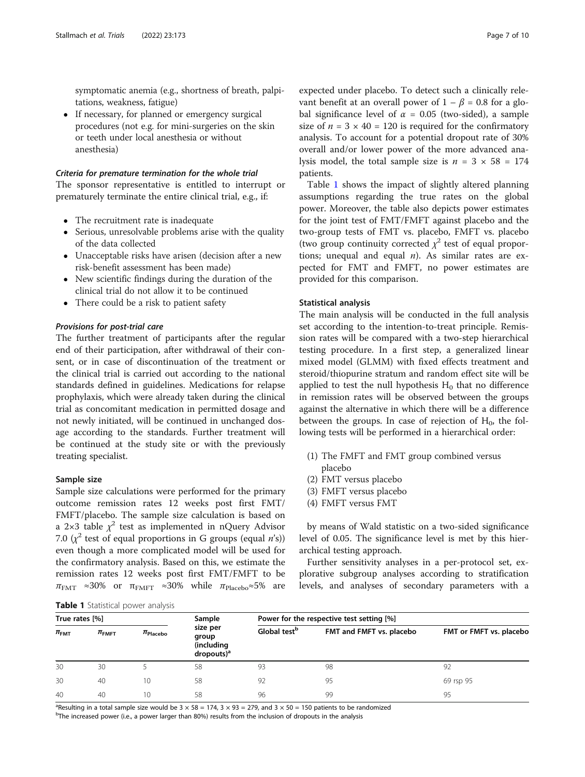symptomatic anemia (e.g., shortness of breath, palpitations, weakness, fatigue)

• If necessary, for planned or emergency surgical procedures (not e.g. for mini-surgeries on the skin or teeth under local anesthesia or without anesthesia)

#### Criteria for premature termination for the whole trial

The sponsor representative is entitled to interrupt or prematurely terminate the entire clinical trial, e.g., if:

- The recruitment rate is inadequate
- Serious, unresolvable problems arise with the quality of the data collected
- Unacceptable risks have arisen (decision after a new risk-benefit assessment has been made)
- New scientific findings during the duration of the clinical trial do not allow it to be continued
- There could be a risk to patient safety

#### Provisions for post-trial care

The further treatment of participants after the regular end of their participation, after withdrawal of their consent, or in case of discontinuation of the treatment or the clinical trial is carried out according to the national standards defined in guidelines. Medications for relapse prophylaxis, which were already taken during the clinical trial as concomitant medication in permitted dosage and not newly initiated, will be continued in unchanged dosage according to the standards. Further treatment will be continued at the study site or with the previously treating specialist.

## Sample size

Sample size calculations were performed for the primary outcome remission rates 12 weeks post first FMT/ FMFT/placebo. The sample size calculation is based on a 2×3 table  $\chi^2$  test as implemented in nQuery Advisor 7.0  $(x^2$  test of equal proportions in G groups (equal *n*'s)) even though a more complicated model will be used for the confirmatory analysis. Based on this, we estimate the remission rates 12 weeks post first FMT/FMFT to be  $\pi_{\text{FMT}} \approx 30\%$  or  $\pi_{\text{FMFT}} \approx 30\%$  while  $\pi_{\text{Placebo}} \approx 5\%$  are

expected under placebo. To detect such a clinically relevant benefit at an overall power of  $1 - \beta = 0.8$  for a global significance level of  $\alpha = 0.05$  (two-sided), a sample size of  $n = 3 \times 40 = 120$  is required for the confirmatory analysis. To account for a potential dropout rate of 30% overall and/or lower power of the more advanced analysis model, the total sample size is  $n = 3 \times 58 = 174$ patients.

Table 1 shows the impact of slightly altered planning assumptions regarding the true rates on the global power. Moreover, the table also depicts power estimates for the joint test of FMT/FMFT against placebo and the two-group tests of FMT vs. placebo, FMFT vs. placebo (two group continuity corrected  $\chi^2$  test of equal proportions; unequal and equal  $n$ ). As similar rates are expected for FMT and FMFT, no power estimates are provided for this comparison.

#### Statistical analysis

The main analysis will be conducted in the full analysis set according to the intention-to-treat principle. Remission rates will be compared with a two-step hierarchical testing procedure. In a first step, a generalized linear mixed model (GLMM) with fixed effects treatment and steroid/thiopurine stratum and random effect site will be applied to test the null hypothesis  $H_0$  that no difference in remission rates will be observed between the groups against the alternative in which there will be a difference between the groups. In case of rejection of  $H_0$ , the following tests will be performed in a hierarchical order:

- (1) The FMFT and FMT group combined versus placebo
- (2) FMT versus placebo
- (3) FMFT versus placebo
- (4) FMFT versus FMT

by means of Wald statistic on a two-sided significance level of 0.05. The significance level is met by this hierarchical testing approach.

Further sensitivity analyses in a per-protocol set, explorative subgroup analyses according to stratification levels, and analyses of secondary parameters with a

Table 1 Statistical power analysis

| True rates [%]     |                       |               | Sample                                                                  | Power for the respective test setting [%] |                          |                         |
|--------------------|-----------------------|---------------|-------------------------------------------------------------------------|-------------------------------------------|--------------------------|-------------------------|
| $\pi_{\text{FMT}}$ | $\pi_{\mathsf{FMFT}}$ | $\pi$ Placebo | size per<br>group<br>(including<br>$\frac{1}{2}$ dropouts) <sup>a</sup> | Global test <sup>b</sup>                  | FMT and FMFT vs. placebo | FMT or FMFT vs. placebo |
| 30                 | 30                    |               | 58                                                                      | 93                                        | 98                       | 92                      |
| 30                 | 40                    | 10            | 58                                                                      | 92                                        | 95                       | 69 rsp 95               |
| 40                 | 40                    | 10            | 58                                                                      | 96                                        | 99                       | 95                      |

<sup>a</sup>Resulting in a total sample size would be  $3 \times 58 = 174$ ,  $3 \times 93 = 279$ , and  $3 \times 50 = 150$  patients to be randomized

<sup>b</sup>The increased power (i.e., a power larger than 80%) results from the inclusion of dropouts in the analysis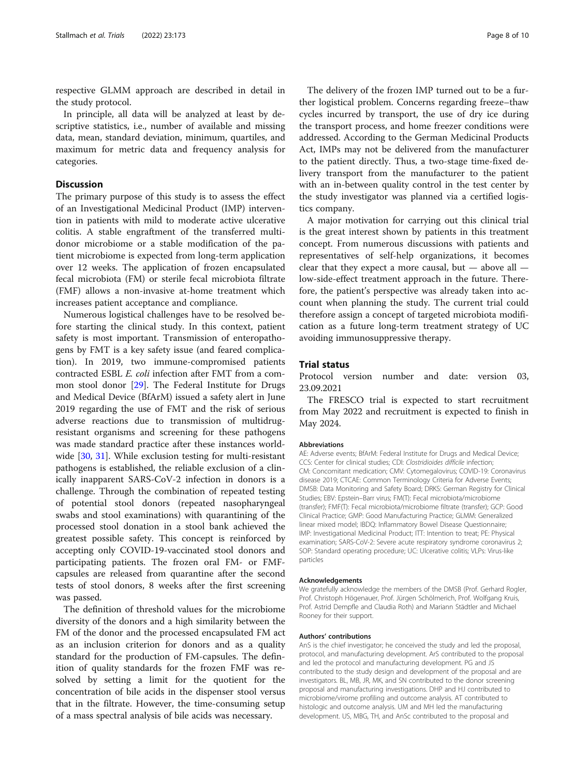respective GLMM approach are described in detail in the study protocol.

In principle, all data will be analyzed at least by descriptive statistics, i.e., number of available and missing data, mean, standard deviation, minimum, quartiles, and maximum for metric data and frequency analysis for categories.

## **Discussion**

The primary purpose of this study is to assess the effect of an Investigational Medicinal Product (IMP) intervention in patients with mild to moderate active ulcerative colitis. A stable engraftment of the transferred multidonor microbiome or a stable modification of the patient microbiome is expected from long-term application over 12 weeks. The application of frozen encapsulated fecal microbiota (FM) or sterile fecal microbiota filtrate (FMF) allows a non-invasive at-home treatment which increases patient acceptance and compliance.

Numerous logistical challenges have to be resolved before starting the clinical study. In this context, patient safety is most important. Transmission of enteropathogens by FMT is a key safety issue (and feared complication). In 2019, two immune-compromised patients contracted ESBL E. coli infection after FMT from a common stool donor [\[29](#page-9-0)]. The Federal Institute for Drugs and Medical Device (BfArM) issued a safety alert in June 2019 regarding the use of FMT and the risk of serious adverse reactions due to transmission of multidrugresistant organisms and screening for these pathogens was made standard practice after these instances worldwide [\[30,](#page-9-0) [31](#page-9-0)]. While exclusion testing for multi-resistant pathogens is established, the reliable exclusion of a clinically inapparent SARS-CoV-2 infection in donors is a challenge. Through the combination of repeated testing of potential stool donors (repeated nasopharyngeal swabs and stool examinations) with quarantining of the processed stool donation in a stool bank achieved the greatest possible safety. This concept is reinforced by accepting only COVID-19-vaccinated stool donors and participating patients. The frozen oral FM- or FMFcapsules are released from quarantine after the second tests of stool donors, 8 weeks after the first screening was passed.

The definition of threshold values for the microbiome diversity of the donors and a high similarity between the FM of the donor and the processed encapsulated FM act as an inclusion criterion for donors and as a quality standard for the production of FM-capsules. The definition of quality standards for the frozen FMF was resolved by setting a limit for the quotient for the concentration of bile acids in the dispenser stool versus that in the filtrate. However, the time-consuming setup of a mass spectral analysis of bile acids was necessary.

The delivery of the frozen IMP turned out to be a further logistical problem. Concerns regarding freeze–thaw cycles incurred by transport, the use of dry ice during the transport process, and home freezer conditions were addressed. According to the German Medicinal Products Act, IMPs may not be delivered from the manufacturer to the patient directly. Thus, a two-stage time-fixed delivery transport from the manufacturer to the patient with an in-between quality control in the test center by the study investigator was planned via a certified logistics company.

A major motivation for carrying out this clinical trial is the great interest shown by patients in this treatment concept. From numerous discussions with patients and representatives of self-help organizations, it becomes clear that they expect a more causal, but — above all low-side-effect treatment approach in the future. Therefore, the patient's perspective was already taken into account when planning the study. The current trial could therefore assign a concept of targeted microbiota modification as a future long-term treatment strategy of UC avoiding immunosuppressive therapy.

## Trial status

Protocol version number and date: version 03, 23.09.2021

The FRESCO trial is expected to start recruitment from May 2022 and recruitment is expected to finish in May 2024.

#### Abbreviations

AE: Adverse events; BfArM: Federal Institute for Drugs and Medical Device; CCS: Center for clinical studies; CDI: Clostridioides difficile infection; CM: Concomitant medication; CMV: Cytomegalovirus; COVID-19: Coronavirus disease 2019; CTCAE: Common Terminology Criteria for Adverse Events; DMSB: Data Monitoring and Safety Board; DRKS: German Registry for Clinical Studies; EBV: Epstein–Barr virus; FM(T): Fecal microbiota/microbiome (transfer); FMF(T): Fecal microbiota/microbiome filtrate (transfer); GCP: Good Clinical Practice; GMP: Good Manufacturing Practice; GLMM: Generalized linear mixed model; IBDQ: Inflammatory Bowel Disease Questionnaire; IMP: Investigational Medicinal Product; ITT: Intention to treat; PE: Physical examination; SARS-CoV-2: Severe acute respiratory syndrome coronavirus 2; SOP: Standard operating procedure; UC: Ulcerative colitis; VLPs: Virus-like particles

#### Acknowledgements

We gratefully acknowledge the members of the DMSB (Prof. Gerhard Rogler, Prof. Christoph Högenauer, Prof. Jürgen Schölmerich, Prof. Wolfgang Kruis, Prof. Astrid Dempfle and Claudia Roth) and Mariann Städtler and Michael Rooney for their support.

#### Authors' contributions

AnS is the chief investigator; he conceived the study and led the proposal, protocol, and manufacturing development. ArS contributed to the proposal and led the protocol and manufacturing development. PG and JS contributed to the study design and development of the proposal and are investigators. BL, MB, JR, MK, and SN contributed to the donor screening proposal and manufacturing investigations. DHP and HJ contributed to microbiome/virome profiling and outcome analysis. AT contributed to histologic and outcome analysis. UM and MH led the manufacturing development. US, MBG, TH, and AnSc contributed to the proposal and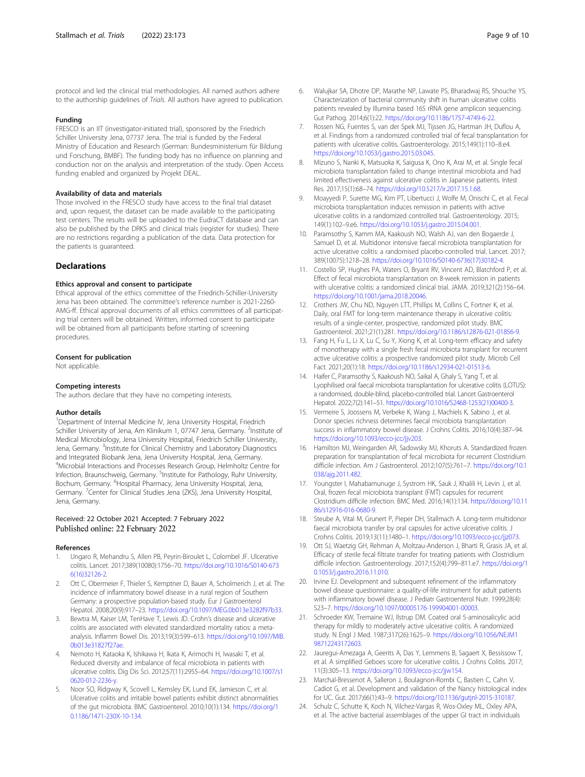<span id="page-8-0"></span>protocol and led the clinical trial methodologies. All named authors adhere to the authorship guidelines of Trials. All authors have agreed to publication.

#### Funding

FRESCO is an IIT (investigator-initiated trial), sponsored by the Friedrich Schiller University Jena, 07737 Jena. The trial is funded by the Federal Ministry of Education and Research (German: Bundesministerium für Bildung und Forschung, BMBF). The funding body has no influence on planning and conduction nor on the analysis and interpretation of the study. Open Access funding enabled and organized by Projekt DEAL.

#### Availability of data and materials

Those involved in the FRESCO study have access to the final trial dataset and, upon request, the dataset can be made available to the participating test centers. The results will be uploaded to the EudraCT database and can also be published by the DRKS and clinical trials (register for studies). There are no restrictions regarding a publication of the data. Data protection for the patients is guaranteed.

#### **Declarations**

#### Ethics approval and consent to participate

Ethical approval of the ethics committee of the Friedrich-Schiller-University Jena has been obtained. The committee's reference number is 2021-2260- AMG-ff. Ethical approval documents of all ethics committees of all participating trial centers will be obtained. Written, informed consent to participate will be obtained from all participants before starting of screening procedures.

#### Consent for publication

Not applicable.

#### Competing interests

The authors declare that they have no competing interests.

#### Author details

<sup>1</sup>Department of Internal Medicine IV, Jena University Hospital, Friedrich Schiller University of Jena, Am Klinikum 1, 07747 Jena, Germany. <sup>2</sup>Institute of Medical Microbiology, Jena University Hospital, Friedrich Schiller University, Jena, Germany. <sup>3</sup>Institute for Clinical Chemistry and Laboratory Diagnostics and Integrated Biobank Jena, Jena University Hospital, Jena, Germany. 4 Microbial Interactions and Processes Research Group, Helmholtz Centre for Infection, Braunschweig, Germany. <sup>5</sup>Institute for Pathology, Ruhr University, Bochum, Germany. <sup>6</sup>Hospital Pharmacy, Jena University Hospital, Jena, Germany. <sup>7</sup>Center for Clinical Studies Jena (ZKS), Jena University Hospital, Jena, Germany.

## Received: 22 October 2021 Accepted: 7 February 2022 Published online: 22 February 2022

#### References

- 1. Ungaro R, Mehandru S, Allen PB, Peyrin-Biroulet L, Colombel JF. Ulcerative colitis. Lancet. 2017;389(10080):1756–70. [https://doi.org/10.1016/S0140-673](https://doi.org/10.1016/S0140-6736(16)32126-2) [6\(16\)32126-2](https://doi.org/10.1016/S0140-6736(16)32126-2).
- 2. Ott C, Obermeier F, Thieler S, Kemptner D, Bauer A, Scholmerich J, et al. The incidence of inflammatory bowel disease in a rural region of Southern Germany: a prospective population-based study. Eur J Gastroenterol Hepatol. 2008;20(9):917–23. [https://doi.org/10.1097/MEG.0b013e3282f97b33.](https://doi.org/10.1097/MEG.0b013e3282f97b33)
- Bewtra M, Kaiser LM, TenHave T, Lewis JD. Crohn's disease and ulcerative colitis are associated with elevated standardized mortality ratios: a metaanalysis. Inflamm Bowel Dis. 2013;19(3):599–613. [https://doi.org/10.1097/MIB.](https://doi.org/10.1097/MIB.0b013e31827f27ae) 0b013e31827f27ae
- 4. Nemoto H, Kataoka K, Ishikawa H, Ikata K, Arimochi H, Iwasaki T, et al. Reduced diversity and imbalance of fecal microbiota in patients with ulcerative colitis. Dig Dis Sci. 2012;57(11):2955–64. [https://doi.org/10.1007/s1](https://doi.org/10.1007/s10620-012-2236-y) [0620-012-2236-y.](https://doi.org/10.1007/s10620-012-2236-y)
- Noor SO, Ridgway K, Scovell L, Kemsley EK, Lund EK, Jamieson C, et al. Ulcerative colitis and irritable bowel patients exhibit distinct abnormalities of the gut microbiota. BMC Gastroenterol. 2010;10(1):134. [https://doi.org/1](https://doi.org/10.1186/1471-230X-10-134) [0.1186/1471-230X-10-134](https://doi.org/10.1186/1471-230X-10-134).
- 6. Walujkar SA, Dhotre DP, Marathe NP, Lawate PS, Bharadwaj RS, Shouche YS. Characterization of bacterial community shift in human ulcerative colitis patients revealed by Illumina based 16S rRNA gene amplicon sequencing. Gut Pathog. 2014;6(1):22. <https://doi.org/10.1186/1757-4749-6-22>.
- 7. Rossen NG, Fuentes S, van der Spek MJ, Tijssen JG, Hartman JH, Duflou A, et al. Findings from a randomized controlled trial of fecal transplantation for patients with ulcerative colitis. Gastroenterology. 2015;149(1):110–8.e4. [https://doi.org/10.1053/j.gastro.2015.03.045.](https://doi.org/10.1053/j.gastro.2015.03.045)
- 8. Mizuno S, Nanki K, Matsuoka K, Saigusa K, Ono K, Arai M, et al. Single fecal microbiota transplantation failed to change intestinal microbiota and had limited effectiveness against ulcerative colitis in Japanese patients. Intest Res. 2017;15(1):68–74. <https://doi.org/10.5217/ir.2017.15.1.68>.
- 9. Moayyedi P, Surette MG, Kim PT, Libertucci J, Wolfe M, Onischi C, et al. Fecal microbiota transplantation induces remission in patients with active ulcerative colitis in a randomized controlled trial. Gastroenterology. 2015; 149(1):102–9.e6. [https://doi.org/10.1053/j.gastro.2015.04.001.](https://doi.org/10.1053/j.gastro.2015.04.001)
- 10. Paramsothy S, Kamm MA, Kaakoush NO, Walsh AJ, van den Bogaerde J, Samuel D, et al. Multidonor intensive faecal microbiota transplantation for active ulcerative colitis: a randomised placebo-controlled trial. Lancet. 2017; 389(10075):1218–28. [https://doi.org/10.1016/S0140-6736\(17\)30182-4](https://doi.org/10.1016/S0140-6736(17)30182-4).
- 11. Costello SP, Hughes PA, Waters O, Bryant RV, Vincent AD, Blatchford P, et al. Effect of fecal microbiota transplantation on 8-week remission in patients with ulcerative colitis: a randomized clinical trial. JAMA. 2019;321(2):156–64. [https://doi.org/10.1001/jama.2018.20046.](https://doi.org/10.1001/jama.2018.20046)
- 12. Crothers JW, Chu ND, Nguyen LTT, Phillips M, Collins C, Fortner K, et al. Daily, oral FMT for long-term maintenance therapy in ulcerative colitis: results of a single-center, prospective, randomized pilot study. BMC Gastroenterol. 2021;21(1):281. [https://doi.org/10.1186/s12876-021-01856-9.](https://doi.org/10.1186/s12876-021-01856-9)
- 13. Fang H, Fu L, Li X, Lu C, Su Y, Xiong K, et al. Long-term efficacy and safety of monotherapy with a single fresh fecal microbiota transplant for recurrent active ulcerative colitis: a prospective randomized pilot study. Microb Cell Fact. 2021;20(1):18. [https://doi.org/10.1186/s12934-021-01513-6.](https://doi.org/10.1186/s12934-021-01513-6)
- 14. Haifer C, Paramsothy S, Kaakoush NO, Saikal A, Ghaly S, Yang T, et al. Lyophilised oral faecal microbiota transplantation for ulcerative colitis (LOTUS): a randomised, double-blind, placebo-controlled trial. Lancet Gastroenterol Hepatol. 2022;7(2):141–51. [https://doi.org/10.1016/S2468-1253\(21\)00400-3](https://doi.org/10.1016/S2468-1253(21)00400-3).
- 15. Vermeire S, Joossens M, Verbeke K, Wang J, Machiels K, Sabino J, et al. Donor species richness determines faecal microbiota transplantation success in inflammatory bowel disease. J Crohns Colitis. 2016;10(4):387–94. [https://doi.org/10.1093/ecco-jcc/jjv203.](https://doi.org/10.1093/ecco-jcc/jjv203)
- 16. Hamilton MJ, Weingarden AR, Sadowsky MJ, Khoruts A. Standardized frozen preparation for transplantation of fecal microbiota for recurrent Clostridium difficile infection. Am J Gastroenterol. 2012;107(5):761–7. [https://doi.org/10.1](https://doi.org/10.1038/ajg.2011.482) [038/ajg.2011.482](https://doi.org/10.1038/ajg.2011.482).
- 17. Youngster I, Mahabamunuge J, Systrom HK, Sauk J, Khalili H, Levin J, et al. Oral, frozen fecal microbiota transplant (FMT) capsules for recurrent Clostridium difficile infection. BMC Med. 2016;14(1):134. [https://doi.org/10.11](https://doi.org/10.1186/s12916-016-0680-9) [86/s12916-016-0680-9](https://doi.org/10.1186/s12916-016-0680-9).
- 18. Steube A, Vital M, Grunert P, Pieper DH, Stallmach A. Long-term multidonor faecal microbiota transfer by oral capsules for active ulcerative colitis. J Crohns Colitis. 2019;13(11):1480–1. <https://doi.org/10.1093/ecco-jcc/jjz073>.
- 19. Ott SJ, Waetzig GH, Rehman A, Moltzau-Anderson J, Bharti R, Grasis JA, et al. Efficacy of sterile fecal filtrate transfer for treating patients with Clostridium difficile infection. Gastroenterology. 2017;152(4):799–811.e7. [https://doi.org/1](https://doi.org/10.1053/j.gastro.2016.11.010) [0.1053/j.gastro.2016.11.010](https://doi.org/10.1053/j.gastro.2016.11.010).
- 20. Irvine EJ. Development and subsequent refinement of the inflammatory bowel disease questionnaire: a quality-of-life instrument for adult patients with inflammatory bowel disease. J Pediatr Gastroenterol Nutr. 1999;28(4): S23–7. [https://doi.org/10.1097/00005176-199904001-00003.](https://doi.org/10.1097/00005176-199904001-00003)
- 21. Schroeder KW, Tremaine WJ, Ilstrup DM. Coated oral 5-aminosalicylic acid therapy for mildly to moderately active ulcerative colitis. A randomized study. N Engl J Med. 1987;317(26):1625–9. [https://doi.org/10.1056/NEJM1](https://doi.org/10.1056/NEJM198712243172603) [98712243172603](https://doi.org/10.1056/NEJM198712243172603).
- 22. Jauregui-Amezaga A, Geerits A, Das Y, Lemmens B, Sagaert X, Bessissow T, et al. A simplified Geboes score for ulcerative colitis. J Crohns Colitis. 2017; 11(3):305–13. <https://doi.org/10.1093/ecco-jcc/jjw154>.
- 23. Marchal-Bressenot A, Salleron J, Boulagnon-Rombi C, Bastien C, Cahn V, Cadiot G, et al. Development and validation of the Nancy histological index for UC. Gut. 2017;66(1):43–9. [https://doi.org/10.1136/gutjnl-2015-310187.](https://doi.org/10.1136/gutjnl-2015-310187)
- 24. Schulz C, Schutte K, Koch N, Vilchez-Vargas R, Wos-Oxley ML, Oxley APA, et al. The active bacterial assemblages of the upper GI tract in individuals